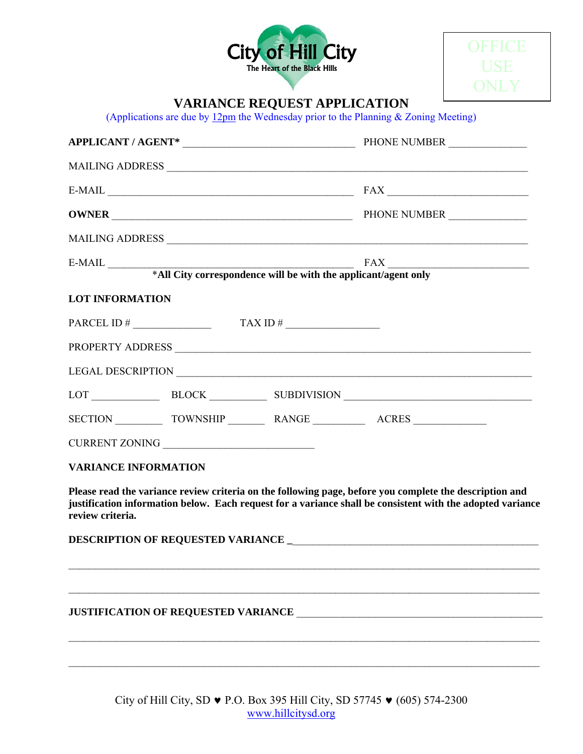



## **VARIANCE REQUEST APPLICATION**

(Applications are due by  $\underline{12pm}$  the Wednesday prior to the Planning & Zoning Meeting)

|                             |  | APPLICANT / AGENT* PHONE NUMBER                                                                                                                                                                                                |
|-----------------------------|--|--------------------------------------------------------------------------------------------------------------------------------------------------------------------------------------------------------------------------------|
|                             |  |                                                                                                                                                                                                                                |
|                             |  | $E-MAIL$ $FAX$ $T = 1$                                                                                                                                                                                                         |
|                             |  |                                                                                                                                                                                                                                |
|                             |  |                                                                                                                                                                                                                                |
|                             |  |                                                                                                                                                                                                                                |
| <b>LOT INFORMATION</b>      |  |                                                                                                                                                                                                                                |
|                             |  |                                                                                                                                                                                                                                |
|                             |  | PROPERTY ADDRESS NATIONAL SERVICE SERVICE SERVICE SERVICE SERVICE SERVICE SERVICE SERVICE SERVICE SERVICE SERVICE SERVICE SERVICE SERVICE SERVICE SERVICE SERVICE SERVICE SERVICE SERVICE SERVICE SERVICE SERVICE SERVICE SERV |
|                             |  |                                                                                                                                                                                                                                |
|                             |  | LOT BLOCK BLOCK SUBDIVISION                                                                                                                                                                                                    |
|                             |  |                                                                                                                                                                                                                                |
|                             |  |                                                                                                                                                                                                                                |
| <b>VARIANCE INFORMATION</b> |  |                                                                                                                                                                                                                                |
|                             |  | Please read the variance review criteria on the following page, before you complete the description and<br>justification information below. Each request for a variance shall be consistent with the adopted variance          |
| review criteria.            |  |                                                                                                                                                                                                                                |
|                             |  |                                                                                                                                                                                                                                |

City of Hill City, SD ♥ P.O. Box 395 Hill City, SD 57745 ♥ (605) 574-2300 www.hillcitysd.org

 $\mathcal{L}_\mathcal{L} = \{ \mathcal{L}_\mathcal{L} = \{ \mathcal{L}_\mathcal{L} = \{ \mathcal{L}_\mathcal{L} = \{ \mathcal{L}_\mathcal{L} = \{ \mathcal{L}_\mathcal{L} = \{ \mathcal{L}_\mathcal{L} = \{ \mathcal{L}_\mathcal{L} = \{ \mathcal{L}_\mathcal{L} = \{ \mathcal{L}_\mathcal{L} = \{ \mathcal{L}_\mathcal{L} = \{ \mathcal{L}_\mathcal{L} = \{ \mathcal{L}_\mathcal{L} = \{ \mathcal{L}_\mathcal{L} = \{ \mathcal{L}_\mathcal{$